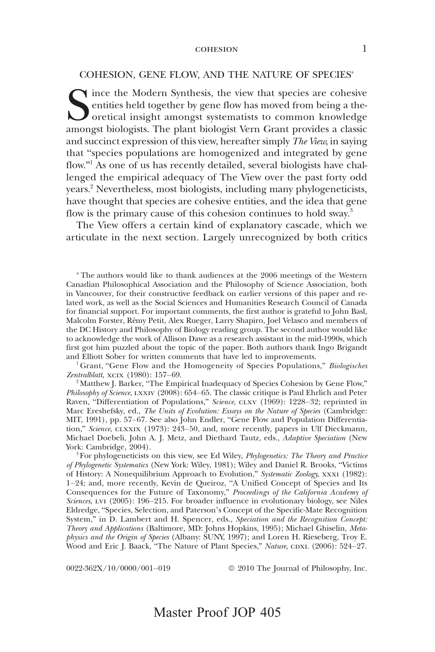#### COHESION, GENE FLOW, AND THE NATURE OF SPECIES\*

Since the Modern Synthesis, the view that species are cohesive entities held together by gene flow has moved from being a theoretical insight amongst systematists to common knowledge amongst biologists. The plant biologist entities held together by gene flow has moved from being a theoretical insight amongst systematists to common knowledge amongst biologists. The plant biologist Vern Grant provides a classic and succinct expression of this view, hereafter simply *The View*, in saying that "species populations are homogenized and integrated by gene flow."<sup>1</sup> As one of us has recently detailed, several biologists have challenged the empirical adequacy of The View over the past forty odd years.2 Nevertheless, most biologists, including many phylogeneticists, have thought that species are cohesive entities, and the idea that gene flow is the primary cause of this cohesion continues to hold sway.<sup>3</sup>

The View offers a certain kind of explanatory cascade, which we articulate in the next section. Largely unrecognized by both critics

\* The authors would like to thank audiences at the 2006 meetings of the Western Canadian Philosophical Association and the Philosophy of Science Association, both in Vancouver, for their constructive feedback on earlier versions of this paper and related work, as well as the Social Sciences and Humanities Research Council of Canada for financial support. For important comments, the first author is grateful to John Basl, Malcolm Forster, Rémy Petit, Alex Rueger, Larry Shapiro, Joel Velasco and members of the DC History and Philosophy of Biology reading group. The second author would like to acknowledge the work of Allison Dawe as a research assistant in the mid-1990s, which first got him puzzled about the topic of the paper. Both authors thank Ingo Brigandt and Elliott Sober for written comments that have led to improvements.

<sup>1</sup> Grant, "Gene Flow and the Homogeneity of Species Populations," Biologisches Zentralblatt, xcix (1980): 157–69.

<sup>2</sup> Matthew J. Barker, "The Empirical Inadequacy of Species Cohesion by Gene Flow," Philosophy of Science, LXXIV (2008): 654–65. The classic critique is Paul Ehrlich and Peter Raven, "Differentiation of Populations," Science, CLXV (1969): 1228–32; reprinted in Marc Ereshefsky, ed., The Units of Evolution: Essays on the Nature of Species (Cambridge: MIT, 1991), pp. 57–67. See also John Endler, "Gene Flow and Population Differentiation," Science, CLXXIX (1973): 243–50, and, more recently, papers in Ulf Dieckmann, Michael Doebeli, John A. J. Metz, and Diethard Tautz, eds., Adaptive Speciation (New York: Cambridge, 2004).

<sup>3</sup> For phylogeneticists on this view, see Ed Wiley, *Phylogenetics: The Theory and Practice* of Phylogenetic Systematics (New York: Wiley, 1981); Wiley and Daniel R. Brooks, "Victims of History: A Nonequilibrium Approach to Evolution," Systematic Zoology, xxx1 (1982): 1–24; and, more recently, Kevin de Queiroz, "A Unified Concept of Species and Its Consequences for the Future of Taxonomy," Proceedings of the California Academy of Sciences, LVI (2005): 196-215. For broader influence in evolutionary biology, see Niles Eldredge, "Species, Selection, and Paterson's Concept of the Specific-Mate Recognition System," in D. Lambert and H. Spencer, eds., Speciation and the Recognition Concept: Theory and Applications (Baltimore, MD: Johns Hopkins, 1995); Michael Ghiselin, Metaphysics and the Origin of Species (Albany: SUNY, 1997); and Loren H. Rieseberg, Troy E. Wood and Eric J. Baack, "The Nature of Plant Species," Nature, CDXL (2006): 524–27.

 $0.022-362X/10/0000/001-019$   $\odot$  2010 The Journal of Philosophy, Inc.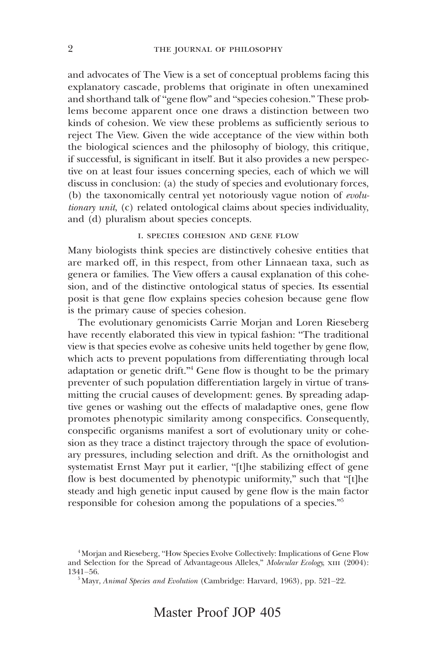and advocates of The View is a set of conceptual problems facing this explanatory cascade, problems that originate in often unexamined and shorthand talk of "gene flow" and "species cohesion." These problems become apparent once one draws a distinction between two kinds of cohesion. We view these problems as sufficiently serious to reject The View. Given the wide acceptance of the view within both the biological sciences and the philosophy of biology, this critique, if successful, is significant in itself. But it also provides a new perspective on at least four issues concerning species, each of which we will discuss in conclusion: (a) the study of species and evolutionary forces, (b) the taxonomically central yet notoriously vague notion of evolutionary unit, (c) related ontological claims about species individuality, and (d) pluralism about species concepts.

## i. species cohesion and gene flow

Many biologists think species are distinctively cohesive entities that are marked off, in this respect, from other Linnaean taxa, such as genera or families. The View offers a causal explanation of this cohesion, and of the distinctive ontological status of species. Its essential posit is that gene flow explains species cohesion because gene flow is the primary cause of species cohesion.

The evolutionary genomicists Carrie Morjan and Loren Rieseberg have recently elaborated this view in typical fashion: "The traditional view is that species evolve as cohesive units held together by gene flow, which acts to prevent populations from differentiating through local adaptation or genetic drift."<sup>4</sup> Gene flow is thought to be the primary preventer of such population differentiation largely in virtue of transmitting the crucial causes of development: genes. By spreading adaptive genes or washing out the effects of maladaptive ones, gene flow promotes phenotypic similarity among conspecifics. Consequently, conspecific organisms manifest a sort of evolutionary unity or cohesion as they trace a distinct trajectory through the space of evolutionary pressures, including selection and drift. As the ornithologist and systematist Ernst Mayr put it earlier, "[t]he stabilizing effect of gene flow is best documented by phenotypic uniformity," such that "[t]he steady and high genetic input caused by gene flow is the main factor responsible for cohesion among the populations of a species."<sup>5</sup>

<sup>4</sup> Morjan and Rieseberg, "How Species Evolve Collectively: Implications of Gene Flow and Selection for the Spread of Advantageous Alleles," Molecular Ecology, XIII (2004): 1341–56.

<sup>&</sup>lt;sup>5</sup> Mayr, Animal Species and Evolution (Cambridge: Harvard, 1963), pp. 521-22.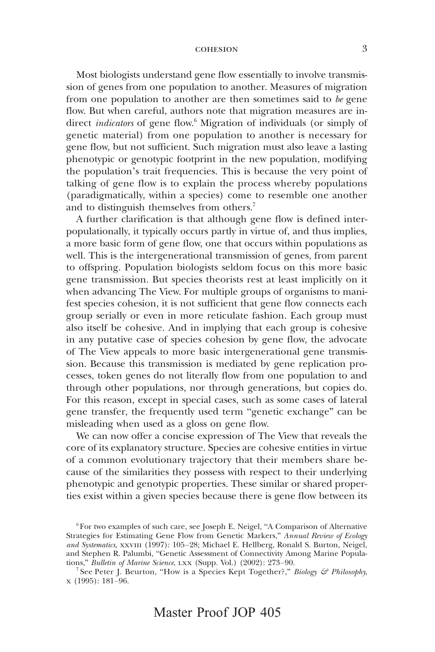Most biologists understand gene flow essentially to involve transmission of genes from one population to another. Measures of migration from one population to another are then sometimes said to be gene flow. But when careful, authors note that migration measures are indirect *indicators* of gene flow.<sup>6</sup> Migration of individuals (or simply of genetic material) from one population to another is necessary for gene flow, but not sufficient. Such migration must also leave a lasting phenotypic or genotypic footprint in the new population, modifying the population's trait frequencies. This is because the very point of talking of gene flow is to explain the process whereby populations (paradigmatically, within a species) come to resemble one another and to distinguish themselves from others.<sup>7</sup>

A further clarification is that although gene flow is defined interpopulationally, it typically occurs partly in virtue of, and thus implies, a more basic form of gene flow, one that occurs within populations as well. This is the intergenerational transmission of genes, from parent to offspring. Population biologists seldom focus on this more basic gene transmission. But species theorists rest at least implicitly on it when advancing The View. For multiple groups of organisms to manifest species cohesion, it is not sufficient that gene flow connects each group serially or even in more reticulate fashion. Each group must also itself be cohesive. And in implying that each group is cohesive in any putative case of species cohesion by gene flow, the advocate of The View appeals to more basic intergenerational gene transmission. Because this transmission is mediated by gene replication processes, token genes do not literally flow from one population to and through other populations, nor through generations, but copies do. For this reason, except in special cases, such as some cases of lateral gene transfer, the frequently used term "genetic exchange" can be misleading when used as a gloss on gene flow.

We can now offer a concise expression of The View that reveals the core of its explanatory structure. Species are cohesive entities in virtue of a common evolutionary trajectory that their members share because of the similarities they possess with respect to their underlying phenotypic and genotypic properties. These similar or shared properties exist within a given species because there is gene flow between its

 $6$  For two examples of such care, see Joseph E. Neigel, "A Comparison of Alternative Strategies for Estimating Gene Flow from Genetic Markers," Annual Review of Ecology and Systematics, XXVIII (1997): 105-28; Michael E. Hellberg, Ronald S. Burton, Neigel, and Stephen R. Palumbi, "Genetic Assessment of Connectivity Among Marine Populations," Bulletin of Marine Science, LXX (Supp. Vol.) (2002): 273–90.

<sup>&</sup>lt;sup>7</sup> See Peter J. Beurton, "How is a Species Kept Together?," Biology & Philosophy, x (1995): 181–96.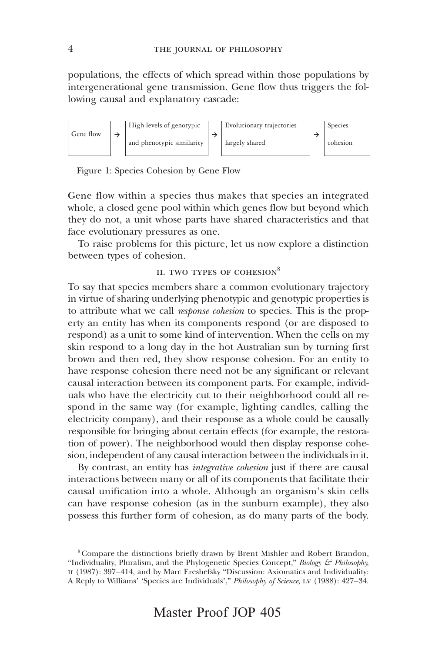populations, the effects of which spread within those populations by intergenerational gene transmission. Gene flow thus triggers the following causal and explanatory cascade:



Figure 1: Species Cohesion by Gene Flow

Gene flow within a species thus makes that species an integrated whole, a closed gene pool within which genes flow but beyond which they do not, a unit whose parts have shared characteristics and that face evolutionary pressures as one.

To raise problems for this picture, let us now explore a distinction between types of cohesion.

## II. TWO TYPES OF COHESION<sup>8</sup>

To say that species members share a common evolutionary trajectory in virtue of sharing underlying phenotypic and genotypic properties is to attribute what we call *response cohesion* to species. This is the property an entity has when its components respond (or are disposed to respond) as a unit to some kind of intervention. When the cells on my skin respond to a long day in the hot Australian sun by turning first brown and then red, they show response cohesion. For an entity to have response cohesion there need not be any significant or relevant causal interaction between its component parts. For example, individuals who have the electricity cut to their neighborhood could all respond in the same way (for example, lighting candles, calling the electricity company), and their response as a whole could be causally responsible for bringing about certain effects (for example, the restoration of power). The neighborhood would then display response cohesion, independent of any causal interaction between the individuals in it.

By contrast, an entity has *integrative cohesion* just if there are causal interactions between many or all of its components that facilitate their causal unification into a whole. Although an organism's skin cells can have response cohesion (as in the sunburn example), they also possess this further form of cohesion, as do many parts of the body.

<sup>8</sup> Compare the distinctions briefly drawn by Brent Mishler and Robert Brandon, "Individuality, Pluralism, and the Phylogenetic Species Concept," Biology  $\mathcal{F}$  Philosophy, II (1987): 397–414, and by Marc Ereshefsky "Discussion: Axiomatics and Individuality: A Reply to Williams' 'Species are Individuals'," Philosophy of Science, lv (1988): 427–34.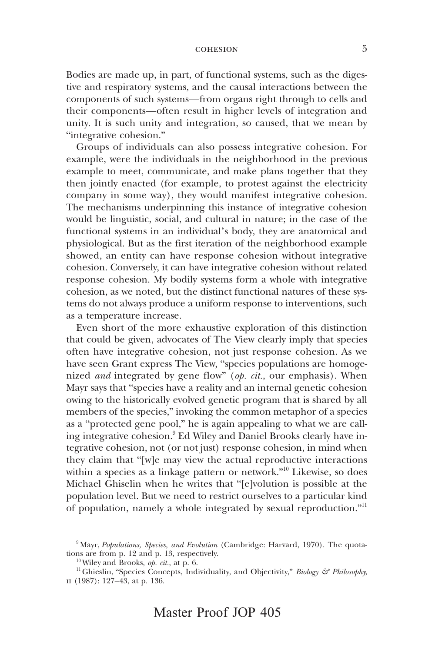Bodies are made up, in part, of functional systems, such as the digestive and respiratory systems, and the causal interactions between the components of such systems—from organs right through to cells and their components—often result in higher levels of integration and unity. It is such unity and integration, so caused, that we mean by "integrative cohesion."

Groups of individuals can also possess integrative cohesion. For example, were the individuals in the neighborhood in the previous example to meet, communicate, and make plans together that they then jointly enacted (for example, to protest against the electricity company in some way), they would manifest integrative cohesion. The mechanisms underpinning this instance of integrative cohesion would be linguistic, social, and cultural in nature; in the case of the functional systems in an individual's body, they are anatomical and physiological. But as the first iteration of the neighborhood example showed, an entity can have response cohesion without integrative cohesion. Conversely, it can have integrative cohesion without related response cohesion. My bodily systems form a whole with integrative cohesion, as we noted, but the distinct functional natures of these systems do not always produce a uniform response to interventions, such as a temperature increase.

Even short of the more exhaustive exploration of this distinction that could be given, advocates of The View clearly imply that species often have integrative cohesion, not just response cohesion. As we have seen Grant express The View, "species populations are homogenized *and* integrated by gene flow" (op. cit., our emphasis). When Mayr says that "species have a reality and an internal genetic cohesion owing to the historically evolved genetic program that is shared by all members of the species," invoking the common metaphor of a species as a "protected gene pool," he is again appealing to what we are calling integrative cohesion.<sup>9</sup> Ed Wiley and Daniel Brooks clearly have integrative cohesion, not (or not just) response cohesion, in mind when they claim that "[w]e may view the actual reproductive interactions within a species as a linkage pattern or network." <sup>10</sup> Likewise, so does Michael Ghiselin when he writes that "[e]volution is possible at the population level. But we need to restrict ourselves to a particular kind of population, namely a whole integrated by sexual reproduction."<sup>11</sup>

 $9$  Mayr, Populations, Species, and Evolution (Cambridge: Harvard, 1970). The quotations are from p. 12 and p. 13, respectively.

 $10$  Wiley and Brooks, *op. cit.*, at p. 6.

<sup>&</sup>lt;sup>11</sup> Ghieslin, "Species Concepts, Individuality, and Objectivity," *Biology & Philosophy*, ii (1987): 127–43, at p. 136.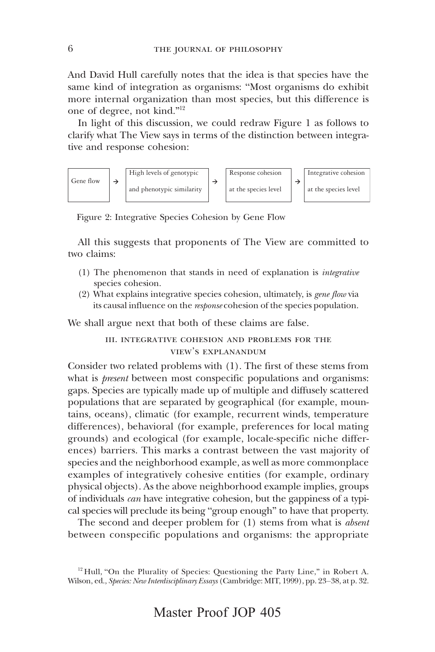And David Hull carefully notes that the idea is that species have the same kind of integration as organisms: "Most organisms do exhibit more internal organization than most species, but this difference is one of degree, not kind."<sup>12</sup>

In light of this discussion, we could redraw Figure 1 as follows to clarify what The View says in terms of the distinction between integrative and response cohesion:



Figure 2: Integrative Species Cohesion by Gene Flow

All this suggests that proponents of The View are committed to two claims:

- (1) The phenomenon that stands in need of explanation is integrative species cohesion.
- (2) What explains integrative species cohesion, ultimately, is gene flow via its causal influence on the response cohesion of the species population.

We shall argue next that both of these claims are false.

iii. integrative cohesion and problems for the view's explanandum

Consider two related problems with (1). The first of these stems from what is *present* between most conspecific populations and organisms: gaps. Species are typically made up of multiple and diffusely scattered populations that are separated by geographical (for example, mountains, oceans), climatic (for example, recurrent winds, temperature differences), behavioral (for example, preferences for local mating grounds) and ecological (for example, locale-specific niche differences) barriers. This marks a contrast between the vast majority of species and the neighborhood example, as well as more commonplace examples of integratively cohesive entities (for example, ordinary physical objects). As the above neighborhood example implies, groups of individuals can have integrative cohesion, but the gappiness of a typical species will preclude its being "group enough" to have that property.

The second and deeper problem for (1) stems from what is *absent* between conspecific populations and organisms: the appropriate

 $12$  Hull, "On the Plurality of Species: Questioning the Party Line," in Robert A. Wilson, ed., Species: New Interdisciplinary Essays (Cambridge: MIT, 1999), pp. 23–38, at p. 32.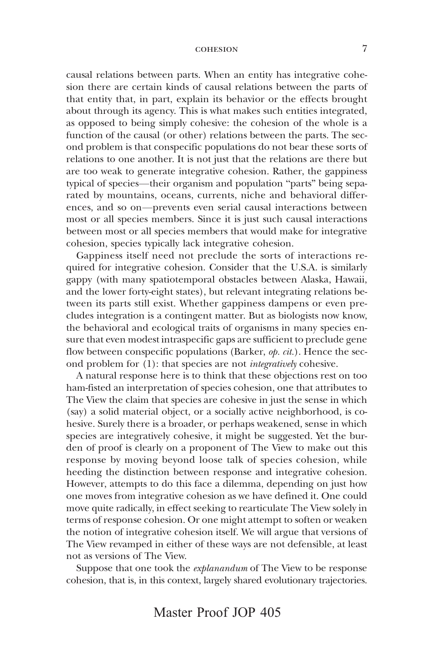causal relations between parts. When an entity has integrative cohesion there are certain kinds of causal relations between the parts of that entity that, in part, explain its behavior or the effects brought about through its agency. This is what makes such entities integrated, as opposed to being simply cohesive: the cohesion of the whole is a function of the causal (or other) relations between the parts. The second problem is that conspecific populations do not bear these sorts of relations to one another. It is not just that the relations are there but are too weak to generate integrative cohesion. Rather, the gappiness typical of species—their organism and population "parts" being separated by mountains, oceans, currents, niche and behavioral differences, and so on—prevents even serial causal interactions between most or all species members. Since it is just such causal interactions between most or all species members that would make for integrative cohesion, species typically lack integrative cohesion.

Gappiness itself need not preclude the sorts of interactions required for integrative cohesion. Consider that the U.S.A. is similarly gappy (with many spatiotemporal obstacles between Alaska, Hawaii, and the lower forty-eight states), but relevant integrating relations between its parts still exist. Whether gappiness dampens or even precludes integration is a contingent matter. But as biologists now know, the behavioral and ecological traits of organisms in many species ensure that even modest intraspecific gaps are sufficient to preclude gene flow between conspecific populations (Barker, op. cit.). Hence the second problem for (1): that species are not integratively cohesive.

A natural response here is to think that these objections rest on too ham-fisted an interpretation of species cohesion, one that attributes to The View the claim that species are cohesive in just the sense in which (say) a solid material object, or a socially active neighborhood, is cohesive. Surely there is a broader, or perhaps weakened, sense in which species are integratively cohesive, it might be suggested. Yet the burden of proof is clearly on a proponent of The View to make out this response by moving beyond loose talk of species cohesion, while heeding the distinction between response and integrative cohesion. However, attempts to do this face a dilemma, depending on just how one moves from integrative cohesion as we have defined it. One could move quite radically, in effect seeking to rearticulate The View solely in terms of response cohesion. Or one might attempt to soften or weaken the notion of integrative cohesion itself. We will argue that versions of The View revamped in either of these ways are not defensible, at least not as versions of The View.

Suppose that one took the explanandum of The View to be response cohesion, that is, in this context, largely shared evolutionary trajectories.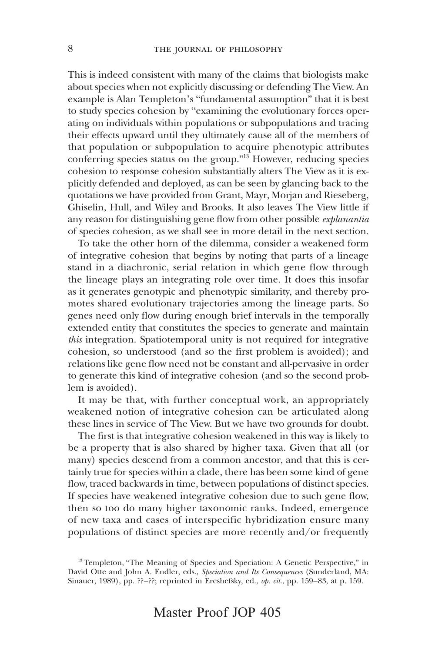This is indeed consistent with many of the claims that biologists make about species when not explicitly discussing or defending The View. An example is Alan Templeton's "fundamental assumption" that it is best to study species cohesion by "examining the evolutionary forces operating on individuals within populations or subpopulations and tracing their effects upward until they ultimately cause all of the members of that population or subpopulation to acquire phenotypic attributes conferring species status on the group."<sup>13</sup> However, reducing species cohesion to response cohesion substantially alters The View as it is explicitly defended and deployed, as can be seen by glancing back to the quotations we have provided from Grant, Mayr, Morjan and Rieseberg, Ghiselin, Hull, and Wiley and Brooks. It also leaves The View little if any reason for distinguishing gene flow from other possible explanantia of species cohesion, as we shall see in more detail in the next section.

To take the other horn of the dilemma, consider a weakened form of integrative cohesion that begins by noting that parts of a lineage stand in a diachronic, serial relation in which gene flow through the lineage plays an integrating role over time. It does this insofar as it generates genotypic and phenotypic similarity, and thereby promotes shared evolutionary trajectories among the lineage parts. So genes need only flow during enough brief intervals in the temporally extended entity that constitutes the species to generate and maintain this integration. Spatiotemporal unity is not required for integrative cohesion, so understood (and so the first problem is avoided); and relations like gene flow need not be constant and all-pervasive in order to generate this kind of integrative cohesion (and so the second problem is avoided).

It may be that, with further conceptual work, an appropriately weakened notion of integrative cohesion can be articulated along these lines in service of The View. But we have two grounds for doubt.

The first is that integrative cohesion weakened in this way is likely to be a property that is also shared by higher taxa. Given that all (or many) species descend from a common ancestor, and that this is certainly true for species within a clade, there has been some kind of gene flow, traced backwards in time, between populations of distinct species. If species have weakened integrative cohesion due to such gene flow, then so too do many higher taxonomic ranks. Indeed, emergence of new taxa and cases of interspecific hybridization ensure many populations of distinct species are more recently and/or frequently

<sup>&</sup>lt;sup>13</sup> Templeton, "The Meaning of Species and Speciation: A Genetic Perspective," in David Otte and John A. Endler, eds., Speciation and Its Consequences (Sunderland, MA: Sinauer, 1989), pp. ??-??; reprinted in Ereshefsky, ed., op. cit., pp. 159–83, at p. 159.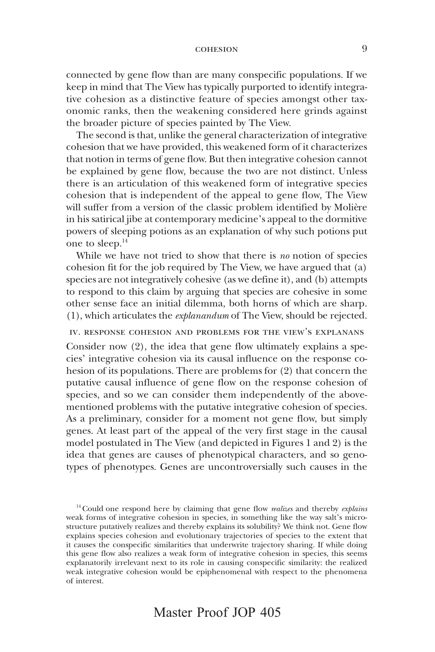connected by gene flow than are many conspecific populations. If we keep in mind that The View has typically purported to identify integrative cohesion as a distinctive feature of species amongst other taxonomic ranks, then the weakening considered here grinds against the broader picture of species painted by The View.

The second is that, unlike the general characterization of integrative cohesion that we have provided, this weakened form of it characterizes that notion in terms of gene flow. But then integrative cohesion cannot be explained by gene flow, because the two are not distinct. Unless there is an articulation of this weakened form of integrative species cohesion that is independent of the appeal to gene flow, The View will suffer from a version of the classic problem identified by Molière in his satirical jibe at contemporary medicine's appeal to the dormitive powers of sleeping potions as an explanation of why such potions put one to sleep.14

While we have not tried to show that there is no notion of species cohesion fit for the job required by The View, we have argued that (a) species are not integratively cohesive (as we define it), and (b) attempts to respond to this claim by arguing that species are cohesive in some other sense face an initial dilemma, both horns of which are sharp. (1), which articulates the explanandum of The View, should be rejected.

## iv. response cohesion and problems for the view's explanans

Consider now (2), the idea that gene flow ultimately explains a species' integrative cohesion via its causal influence on the response cohesion of its populations. There are problems for (2) that concern the putative causal influence of gene flow on the response cohesion of species, and so we can consider them independently of the abovementioned problems with the putative integrative cohesion of species. As a preliminary, consider for a moment not gene flow, but simply genes. At least part of the appeal of the very first stage in the causal model postulated in The View (and depicted in Figures 1 and 2) is the idea that genes are causes of phenotypical characters, and so genotypes of phenotypes. Genes are uncontroversially such causes in the

 $14$  Could one respond here by claiming that gene flow *realizes* and thereby *explains* weak forms of integrative cohesion in species, in something like the way salt's microstructure putatively realizes and thereby explains its solubility? We think not. Gene flow explains species cohesion and evolutionary trajectories of species to the extent that it causes the conspecific similarities that underwrite trajectory sharing. If while doing this gene flow also realizes a weak form of integrative cohesion in species, this seems explanatorily irrelevant next to its role in causing conspecific similarity: the realized weak integrative cohesion would be epiphenomenal with respect to the phenomena of interest.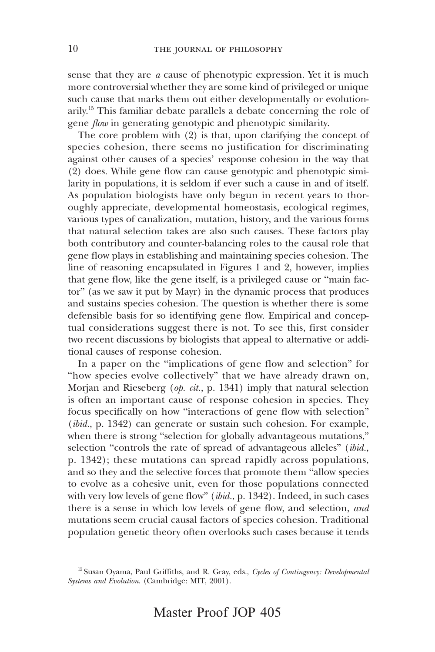sense that they are a cause of phenotypic expression. Yet it is much more controversial whether they are some kind of privileged or unique such cause that marks them out either developmentally or evolutionarily.<sup>15</sup> This familiar debate parallels a debate concerning the role of gene *flow* in generating genotypic and phenotypic similarity.

The core problem with (2) is that, upon clarifying the concept of species cohesion, there seems no justification for discriminating against other causes of a species' response cohesion in the way that (2) does. While gene flow can cause genotypic and phenotypic similarity in populations, it is seldom if ever such a cause in and of itself. As population biologists have only begun in recent years to thoroughly appreciate, developmental homeostasis, ecological regimes, various types of canalization, mutation, history, and the various forms that natural selection takes are also such causes. These factors play both contributory and counter-balancing roles to the causal role that gene flow plays in establishing and maintaining species cohesion. The line of reasoning encapsulated in Figures 1 and 2, however, implies that gene flow, like the gene itself, is a privileged cause or "main factor" (as we saw it put by Mayr) in the dynamic process that produces and sustains species cohesion. The question is whether there is some defensible basis for so identifying gene flow. Empirical and conceptual considerations suggest there is not. To see this, first consider two recent discussions by biologists that appeal to alternative or additional causes of response cohesion.

In a paper on the "implications of gene flow and selection" for "how species evolve collectively" that we have already drawn on, Morjan and Rieseberg (op. cit., p. 1341) imply that natural selection is often an important cause of response cohesion in species. They focus specifically on how "interactions of gene flow with selection" (*ibid.*, p. 1342) can generate or sustain such cohesion. For example, when there is strong "selection for globally advantageous mutations," selection "controls the rate of spread of advantageous alleles" (ibid., p. 1342); these mutations can spread rapidly across populations, and so they and the selective forces that promote them "allow species to evolve as a cohesive unit, even for those populations connected with very low levels of gene flow" (*ibid.*, p. 1342). Indeed, in such cases there is a sense in which low levels of gene flow, and selection, and mutations seem crucial causal factors of species cohesion. Traditional population genetic theory often overlooks such cases because it tends

<sup>&</sup>lt;sup>15</sup> Susan Oyama, Paul Griffiths, and R. Gray, eds., Cycles of Contingency: Developmental Systems and Evolution. (Cambridge: MIT, 2001).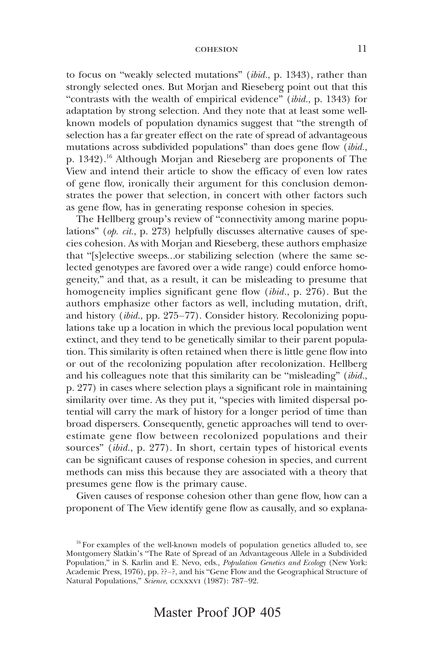to focus on "weakly selected mutations" (ibid., p. 1343), rather than strongly selected ones. But Morjan and Rieseberg point out that this "contrasts with the wealth of empirical evidence" (ibid., p. 1343) for adaptation by strong selection. And they note that at least some wellknown models of population dynamics suggest that "the strength of selection has a far greater effect on the rate of spread of advantageous mutations across subdivided populations" than does gene flow  $(\vec{b}id.,$ p. 1342).16 Although Morjan and Rieseberg are proponents of The View and intend their article to show the efficacy of even low rates of gene flow, ironically their argument for this conclusion demonstrates the power that selection, in concert with other factors such as gene flow, has in generating response cohesion in species.

The Hellberg group's review of "connectivity among marine populations" (op. cit., p. 273) helpfully discusses alternative causes of species cohesion. As with Morjan and Rieseberg, these authors emphasize that "[s]elective sweeps…or stabilizing selection (where the same selected genotypes are favored over a wide range) could enforce homogeneity," and that, as a result, it can be misleading to presume that homogeneity implies significant gene flow (ibid., p. 276). But the authors emphasize other factors as well, including mutation, drift, and history (ibid., pp. 275–77). Consider history. Recolonizing populations take up a location in which the previous local population went extinct, and they tend to be genetically similar to their parent population. This similarity is often retained when there is little gene flow into or out of the recolonizing population after recolonization. Hellberg and his colleagues note that this similarity can be "misleading" *(ibid.,* p. 277) in cases where selection plays a significant role in maintaining similarity over time. As they put it, "species with limited dispersal potential will carry the mark of history for a longer period of time than broad dispersers. Consequently, genetic approaches will tend to overestimate gene flow between recolonized populations and their sources" (ibid., p. 277). In short, certain types of historical events can be significant causes of response cohesion in species, and current methods can miss this because they are associated with a theory that presumes gene flow is the primary cause.

Given causes of response cohesion other than gene flow, how can a proponent of The View identify gene flow as causally, and so explana-

<sup>&</sup>lt;sup>16</sup> For examples of the well-known models of population genetics alluded to, see Montgomery Slatkin's "The Rate of Spread of an Advantageous Allele in a Subdivided Population," in S. Karlin and E. Nevo, eds., *Population Genetics and Ecology* (New York: Academic Press, 1976), pp. ??–?, and his "Gene Flow and the Geographical Structure of Natural Populations," Science, ccxxxvI (1987): 787–92.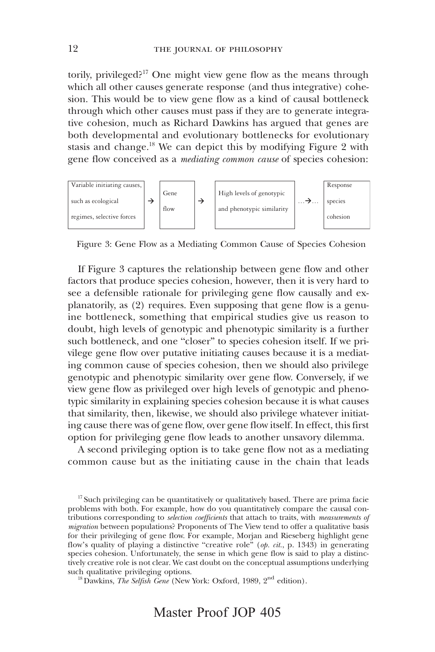torily, privileged?17 One might view gene flow as the means through which all other causes generate response (and thus integrative) cohesion. This would be to view gene flow as a kind of causal bottleneck through which other causes must pass if they are to generate integrative cohesion, much as Richard Dawkins has argued that genes are both developmental and evolutionary bottlenecks for evolutionary stasis and change.<sup>18</sup> We can depict this by modifying Figure 2 with gene flow conceived as a mediating common cause of species cohesion:



Figure 3: Gene Flow as a Mediating Common Cause of Species Cohesion

If Figure 3 captures the relationship between gene flow and other factors that produce species cohesion, however, then it is very hard to see a defensible rationale for privileging gene flow causally and explanatorily, as (2) requires. Even supposing that gene flow is a genuine bottleneck, something that empirical studies give us reason to doubt, high levels of genotypic and phenotypic similarity is a further such bottleneck, and one "closer" to species cohesion itself. If we privilege gene flow over putative initiating causes because it is a mediating common cause of species cohesion, then we should also privilege genotypic and phenotypic similarity over gene flow. Conversely, if we view gene flow as privileged over high levels of genotypic and phenotypic similarity in explaining species cohesion because it is what causes that similarity, then, likewise, we should also privilege whatever initiating cause there was of gene flow, over gene flow itself. In effect, this first option for privileging gene flow leads to another unsavory dilemma.

A second privileging option is to take gene flow not as a mediating common cause but as the initiating cause in the chain that leads

<sup>17</sup> Such privileging can be quantitatively or qualitatively based. There are prima facie problems with both. For example, how do you quantitatively compare the causal contributions corresponding to *selection coefficients* that attach to traits, with *measurements of* migration between populations? Proponents of The View tend to offer a qualitative basis for their privileging of gene flow. For example, Morjan and Rieseberg highlight gene flow's quality of playing a distinctive "creative role" (*op. cit.*, p. 1343) in generating species cohesion. Unfortunately, the sense in which gene flow is said to play a distinctively creative role is not clear. We cast doubt on the conceptual assumptions underlying such qualitative privileging options.

<sup>18</sup> Dawkins, The Selfish Gene (New York: Oxford, 1989, 2<sup>nd</sup> edition).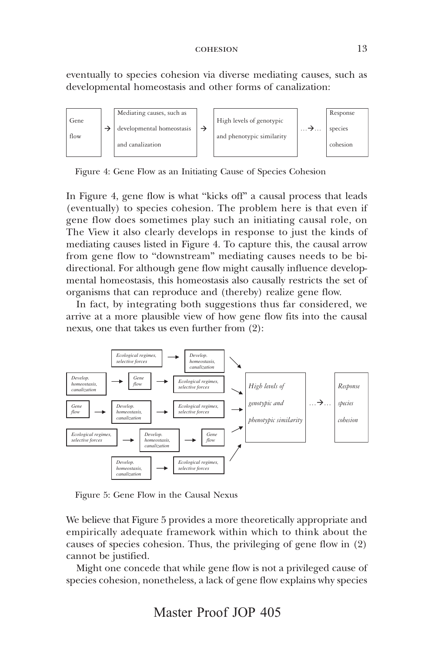eventually to species cohesion via diverse mediating causes, such as developmental homeostasis and other forms of canalization:



Figure 4: Gene Flow as an Initiating Cause of Species Cohesion

In Figure 4, gene flow is what "kicks off" a causal process that leads (eventually) to species cohesion. The problem here is that even if gene flow does sometimes play such an initiating causal role, on The View it also clearly develops in response to just the kinds of mediating causes listed in Figure 4. To capture this, the causal arrow from gene flow to "downstream" mediating causes needs to be bidirectional. For although gene flow might causally influence developmental homeostasis, this homeostasis also causally restricts the set of organisms that can reproduce and (thereby) realize gene flow.

In fact, by integrating both suggestions thus far considered, we arrive at a more plausible view of how gene flow fits into the causal nexus, one that takes us even further from (2):



Figure 5: Gene Flow in the Causal Nexus

We believe that Figure 5 provides a more theoretically appropriate and empirically adequate framework within which to think about the causes of species cohesion. Thus, the privileging of gene flow in (2) cannot be justified.

Might one concede that while gene flow is not a privileged cause of species cohesion, nonetheless, a lack of gene flow explains why species

Master Proof JOP 405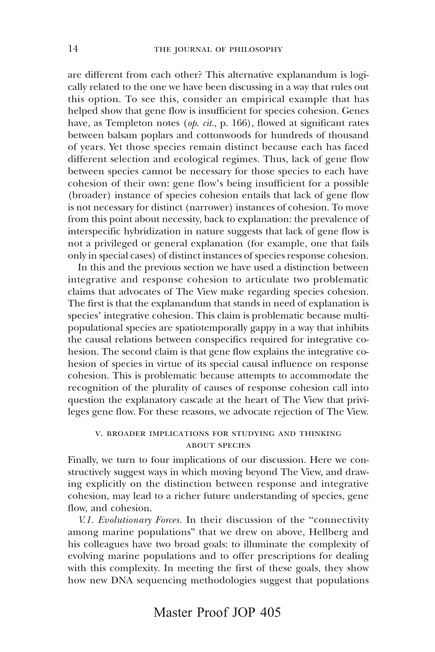are different from each other? This alternative explanandum is logically related to the one we have been discussing in a way that rules out this option. To see this, consider an empirical example that has helped show that gene flow is insufficient for species cohesion. Genes have, as Templeton notes (op. cit., p. 166), flowed at significant rates between balsam poplars and cottonwoods for hundreds of thousand of years. Yet those species remain distinct because each has faced different selection and ecological regimes. Thus, lack of gene flow between species cannot be necessary for those species to each have cohesion of their own: gene flow's being insufficient for a possible (broader) instance of species cohesion entails that lack of gene flow is not necessary for distinct (narrower) instances of cohesion. To move from this point about necessity, back to explanation: the prevalence of interspecific hybridization in nature suggests that lack of gene flow is not a privileged or general explanation (for example, one that fails only in special cases) of distinct instances of species response cohesion.

In this and the previous section we have used a distinction between integrative and response cohesion to articulate two problematic claims that advocates of The View make regarding species cohesion. The first is that the explanandum that stands in need of explanation is species' integrative cohesion. This claim is problematic because multipopulational species are spatiotemporally gappy in a way that inhibits the causal relations between conspecifics required for integrative cohesion. The second claim is that gene flow explains the integrative cohesion of species in virtue of its special causal influence on response cohesion. This is problematic because attempts to accommodate the recognition of the plurality of causes of response cohesion call into question the explanatory cascade at the heart of The View that privileges gene flow. For these reasons, we advocate rejection of The View.

# v. broader implications for studying and thinking about species

Finally, we turn to four implications of our discussion. Here we constructively suggest ways in which moving beyond The View, and drawing explicitly on the distinction between response and integrative cohesion, may lead to a richer future understanding of species, gene flow, and cohesion.

V.1. Evolutionary Forces. In their discussion of the "connectivity among marine populations" that we drew on above, Hellberg and his colleagues have two broad goals: to illuminate the complexity of evolving marine populations and to offer prescriptions for dealing with this complexity. In meeting the first of these goals, they show how new DNA sequencing methodologies suggest that populations

# Master Proof JOP 405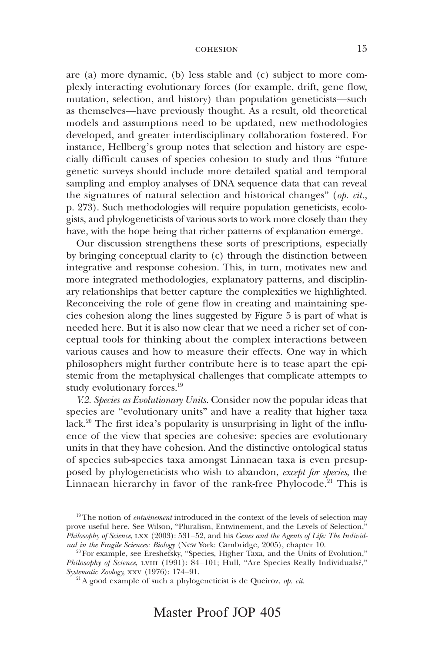are (a) more dynamic, (b) less stable and (c) subject to more complexly interacting evolutionary forces (for example, drift, gene flow, mutation, selection, and history) than population geneticists—such as themselves—have previously thought. As a result, old theoretical models and assumptions need to be updated, new methodologies developed, and greater interdisciplinary collaboration fostered. For instance, Hellberg's group notes that selection and history are especially difficult causes of species cohesion to study and thus "future genetic surveys should include more detailed spatial and temporal sampling and employ analyses of DNA sequence data that can reveal the signatures of natural selection and historical changes" (op. cit., p. 273). Such methodologies will require population geneticists, ecologists, and phylogeneticists of various sorts to work more closely than they have, with the hope being that richer patterns of explanation emerge.

Our discussion strengthens these sorts of prescriptions, especially by bringing conceptual clarity to (c) through the distinction between integrative and response cohesion. This, in turn, motivates new and more integrated methodologies, explanatory patterns, and disciplinary relationships that better capture the complexities we highlighted. Reconceiving the role of gene flow in creating and maintaining species cohesion along the lines suggested by Figure 5 is part of what is needed here. But it is also now clear that we need a richer set of conceptual tools for thinking about the complex interactions between various causes and how to measure their effects. One way in which philosophers might further contribute here is to tease apart the epistemic from the metaphysical challenges that complicate attempts to study evolutionary forces.<sup>19</sup>

V.2. Species as Evolutionary Units. Consider now the popular ideas that species are "evolutionary units" and have a reality that higher taxa lack.<sup>20</sup> The first idea's popularity is unsurprising in light of the influence of the view that species are cohesive: species are evolutionary units in that they have cohesion. And the distinctive ontological status of species sub-species taxa amongst Linnaean taxa is even presupposed by phylogeneticists who wish to abandon, except for species, the Linnaean hierarchy in favor of the rank-free Phylocode.<sup>21</sup> This is

<sup>&</sup>lt;sup>19</sup> The notion of *entwinement* introduced in the context of the levels of selection may prove useful here. See Wilson, "Pluralism, Entwinement, and the Levels of Selection," Philosophy of Science, lxx (2003): 531–52, and his Genes and the Agents of Life: The Individual in the Fragile Sciences: Biology (New York: Cambridge, 2005), chapter 10.

<sup>&</sup>lt;sup>20</sup> For example, see Ereshefsky, "Species, Higher Taxa, and the Units of Evolution," Philosophy of Science, LVIII (1991):  $84-101$ ; Hull, "Are Species Really Individuals?," Systematic Zoology, xxv (1976): 174–91.

 $21$  A good example of such a phylogeneticist is de Queiroz, op. cit.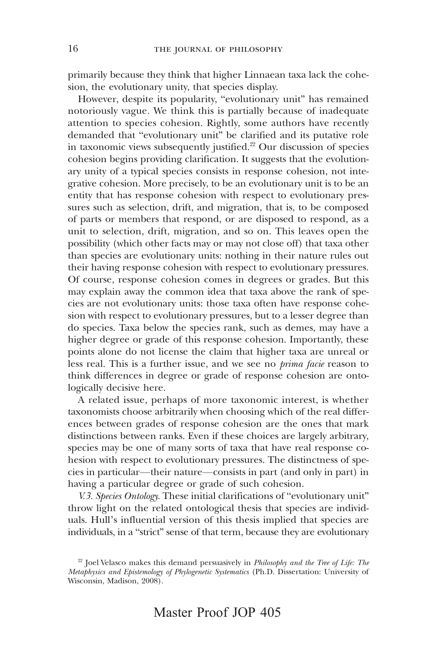primarily because they think that higher Linnaean taxa lack the cohesion, the evolutionary unity, that species display.

However, despite its popularity, "evolutionary unit" has remained notoriously vague. We think this is partially because of inadequate attention to species cohesion. Rightly, some authors have recently demanded that "evolutionary unit" be clarified and its putative role in taxonomic views subsequently justified.<sup>22</sup> Our discussion of species cohesion begins providing clarification. It suggests that the evolutionary unity of a typical species consists in response cohesion, not integrative cohesion. More precisely, to be an evolutionary unit is to be an entity that has response cohesion with respect to evolutionary pressures such as selection, drift, and migration, that is, to be composed of parts or members that respond, or are disposed to respond, as a unit to selection, drift, migration, and so on. This leaves open the possibility (which other facts may or may not close off) that taxa other than species are evolutionary units: nothing in their nature rules out their having response cohesion with respect to evolutionary pressures. Of course, response cohesion comes in degrees or grades. But this may explain away the common idea that taxa above the rank of species are not evolutionary units: those taxa often have response cohesion with respect to evolutionary pressures, but to a lesser degree than do species. Taxa below the species rank, such as demes, may have a higher degree or grade of this response cohesion. Importantly, these points alone do not license the claim that higher taxa are unreal or less real. This is a further issue, and we see no *prima facie* reason to think differences in degree or grade of response cohesion are ontologically decisive here.

A related issue, perhaps of more taxonomic interest, is whether taxonomists choose arbitrarily when choosing which of the real differences between grades of response cohesion are the ones that mark distinctions between ranks. Even if these choices are largely arbitrary, species may be one of many sorts of taxa that have real response cohesion with respect to evolutionary pressures. The distinctness of species in particular—their nature—consists in part (and only in part) in having a particular degree or grade of such cohesion.

V.3. Species Ontology. These initial clarifications of "evolutionary unit" throw light on the related ontological thesis that species are individuals. Hull's influential version of this thesis implied that species are individuals, in a "strict" sense of that term, because they are evolutionary

<sup>&</sup>lt;sup>22</sup> Joel Velasco makes this demand persuasively in *Philosophy and the Tree of Life: The* Metaphysics and Epistemology of Phylogenetic Systematics (Ph.D. Dissertation: University of Wisconsin, Madison, 2008).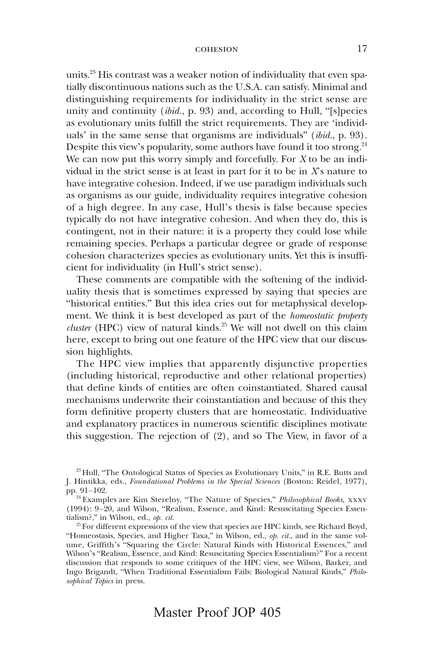units.23 His contrast was a weaker notion of individuality that even spatially discontinuous nations such as the U.S.A. can satisfy. Minimal and distinguishing requirements for individuality in the strict sense are unity and continuity (*ibid.*, p. 93) and, according to Hull, "[s]pecies as evolutionary units fulfill the strict requirements. They are 'individuals' in the same sense that organisms are individuals" (*ibid.*, p. 93). Despite this view's popularity, some authors have found it too strong.  $24$ We can now put this worry simply and forcefully. For  $X$  to be an individual in the strict sense is at least in part for it to be in  $X$ 's nature to have integrative cohesion. Indeed, if we use paradigm individuals such as organisms as our guide, individuality requires integrative cohesion of a high degree. In any case, Hull's thesis is false because species typically do not have integrative cohesion. And when they do, this is contingent, not in their nature: it is a property they could lose while remaining species. Perhaps a particular degree or grade of response cohesion characterizes species as evolutionary units. Yet this is insufficient for individuality (in Hull's strict sense).

These comments are compatible with the softening of the individuality thesis that is sometimes expressed by saying that species are "historical entities." But this idea cries out for metaphysical development. We think it is best developed as part of the homeostatic property *cluster* (HPC) view of natural kinds.<sup>25</sup> We will not dwell on this claim here, except to bring out one feature of the HPC view that our discussion highlights.

The HPC view implies that apparently disjunctive properties (including historical, reproductive and other relational properties) that define kinds of entities are often coinstantiated. Shared causal mechanisms underwrite their coinstantiation and because of this they form definitive property clusters that are homeostatic. Individuative and explanatory practices in numerous scientific disciplines motivate this suggestion. The rejection of (2), and so The View, in favor of a

<sup>&</sup>lt;sup>23</sup> Hull, "The Ontological Status of Species as Evolutionary Units," in R.E. Butts and J. Hintikka, eds., Foundational Problems in the Special Sciences (Boston: Reidel, 1977), pp. 91–102.

<sup>&</sup>lt;sup>24</sup> Examples are Kim Sterelny, "The Nature of Species," Philosophical Books, xxxv (1994): 9–20, and Wilson, "Realism, Essence, and Kind: Resuscitating Species Essentialism?," in Wilson, ed., op. cit.

 $25$  For different expressions of the view that species are HPC kinds, see Richard Boyd, "Homeostasis, Species, and Higher Taxa," in Wilson, ed.,  $op.$  cit., and in the same volume, Griffith's "Squaring the Circle: Natural Kinds with Historical Essences," and Wilson's "Realism, Essence, and Kind: Resuscitating Species Essentialism?" For a recent discussion that responds to some critiques of the HPC view, see Wilson, Barker, and Ingo Brigandt, "When Traditional Essentialism Fails: Biological Natural Kinds," Philosophical Topics in press.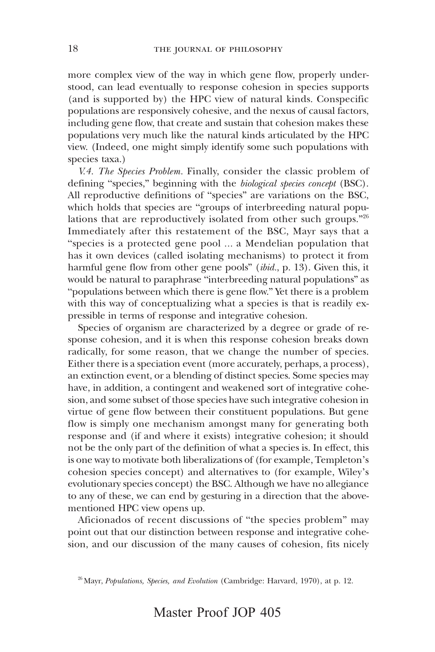more complex view of the way in which gene flow, properly understood, can lead eventually to response cohesion in species supports (and is supported by) the HPC view of natural kinds. Conspecific populations are responsively cohesive, and the nexus of causal factors, including gene flow, that create and sustain that cohesion makes these populations very much like the natural kinds articulated by the HPC view. (Indeed, one might simply identify some such populations with species taxa.)

V.4. The Species Problem. Finally, consider the classic problem of defining "species," beginning with the *biological species concept* (BSC). All reproductive definitions of "species" are variations on the BSC, which holds that species are "groups of interbreeding natural populations that are reproductively isolated from other such groups."<sup>26</sup> Immediately after this restatement of the BSC, Mayr says that a "species is a protected gene pool … a Mendelian population that has it own devices (called isolating mechanisms) to protect it from harmful gene flow from other gene pools" (ibid., p. 13). Given this, it would be natural to paraphrase "interbreeding natural populations" as "populations between which there is gene flow." Yet there is a problem with this way of conceptualizing what a species is that is readily expressible in terms of response and integrative cohesion.

Species of organism are characterized by a degree or grade of response cohesion, and it is when this response cohesion breaks down radically, for some reason, that we change the number of species. Either there is a speciation event (more accurately, perhaps, a process), an extinction event, or a blending of distinct species. Some species may have, in addition, a contingent and weakened sort of integrative cohesion, and some subset of those species have such integrative cohesion in virtue of gene flow between their constituent populations. But gene flow is simply one mechanism amongst many for generating both response and (if and where it exists) integrative cohesion; it should not be the only part of the definition of what a species is. In effect, this is one way to motivate both liberalizations of (for example, Templeton's cohesion species concept) and alternatives to (for example, Wiley's evolutionary species concept) the BSC. Although we have no allegiance to any of these, we can end by gesturing in a direction that the abovementioned HPC view opens up.

Aficionados of recent discussions of "the species problem" may point out that our distinction between response and integrative cohesion, and our discussion of the many causes of cohesion, fits nicely

 $26$  Mayr, Populations, Species, and Evolution (Cambridge: Harvard, 1970), at p. 12.